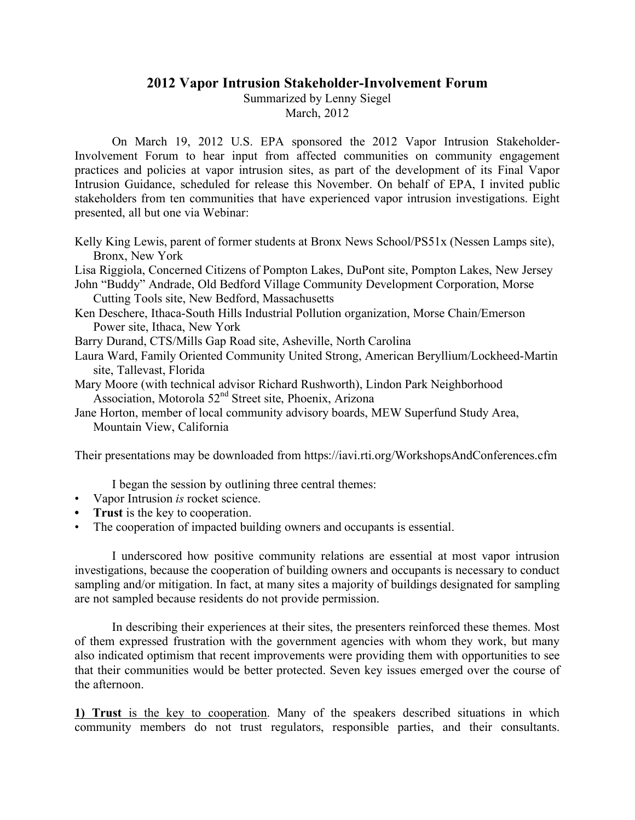## **2012 Vapor Intrusion Stakeholder-Involvement Forum**

Summarized by Lenny Siegel

March, 2012

On March 19, 2012 U.S. EPA sponsored the 2012 Vapor Intrusion Stakeholder-Involvement Forum to hear input from affected communities on community engagement practices and policies at vapor intrusion sites, as part of the development of its Final Vapor Intrusion Guidance, scheduled for release this November. On behalf of EPA, I invited public stakeholders from ten communities that have experienced vapor intrusion investigations. Eight presented, all but one via Webinar:

Kelly King Lewis, parent of former students at Bronx News School/PS51x (Nessen Lamps site), Bronx, New York

Lisa Riggiola, Concerned Citizens of Pompton Lakes, DuPont site, Pompton Lakes, New Jersey

John "Buddy" Andrade, Old Bedford Village Community Development Corporation, Morse Cutting Tools site, New Bedford, Massachusetts

Ken Deschere, Ithaca-South Hills Industrial Pollution organization, Morse Chain/Emerson Power site, Ithaca, New York

Barry Durand, CTS/Mills Gap Road site, Asheville, North Carolina

Laura Ward, Family Oriented Community United Strong, American Beryllium/Lockheed-Martin site, Tallevast, Florida

Mary Moore (with technical advisor Richard Rushworth), Lindon Park Neighborhood Association, Motorola 52nd Street site, Phoenix, Arizona

Jane Horton, member of local community advisory boards, MEW Superfund Study Area, Mountain View, California

Their presentations may be downloaded from https://iavi.rti.org/WorkshopsAndConferences.cfm

I began the session by outlining three central themes:

- Vapor Intrusion *is* rocket science.
- **• Trust** is the key to cooperation.
- The cooperation of impacted building owners and occupants is essential.

I underscored how positive community relations are essential at most vapor intrusion investigations, because the cooperation of building owners and occupants is necessary to conduct sampling and/or mitigation. In fact, at many sites a majority of buildings designated for sampling are not sampled because residents do not provide permission.

In describing their experiences at their sites, the presenters reinforced these themes. Most of them expressed frustration with the government agencies with whom they work, but many also indicated optimism that recent improvements were providing them with opportunities to see that their communities would be better protected. Seven key issues emerged over the course of the afternoon.

**1) Trust** is the key to cooperation. Many of the speakers described situations in which community members do not trust regulators, responsible parties, and their consultants.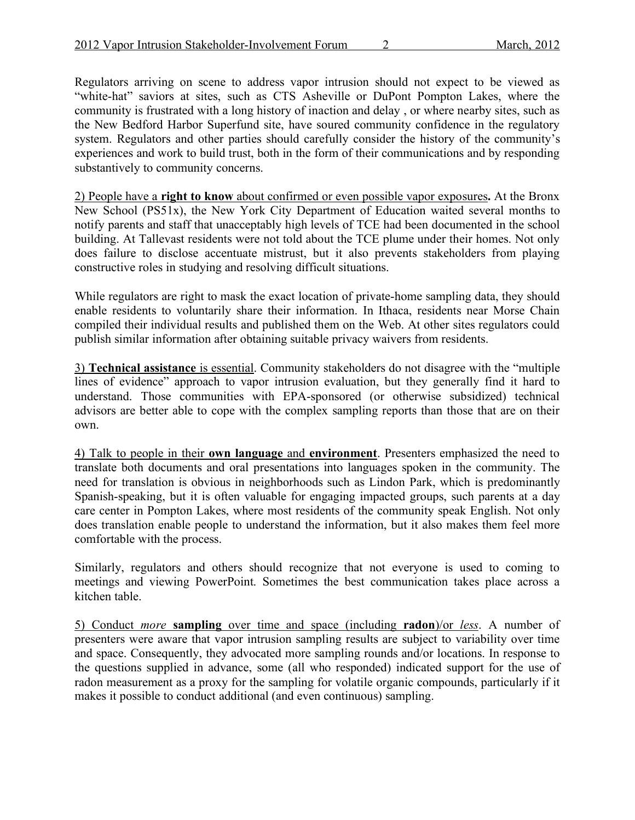Regulators arriving on scene to address vapor intrusion should not expect to be viewed as "white-hat" saviors at sites, such as CTS Asheville or DuPont Pompton Lakes, where the community is frustrated with a long history of inaction and delay , or where nearby sites, such as the New Bedford Harbor Superfund site, have soured community confidence in the regulatory system. Regulators and other parties should carefully consider the history of the community's experiences and work to build trust, both in the form of their communications and by responding substantively to community concerns.

2) People have a **right to know** about confirmed or even possible vapor exposures**.** At the Bronx New School (PS51x), the New York City Department of Education waited several months to notify parents and staff that unacceptably high levels of TCE had been documented in the school building. At Tallevast residents were not told about the TCE plume under their homes. Not only does failure to disclose accentuate mistrust, but it also prevents stakeholders from playing constructive roles in studying and resolving difficult situations.

While regulators are right to mask the exact location of private-home sampling data, they should enable residents to voluntarily share their information. In Ithaca, residents near Morse Chain compiled their individual results and published them on the Web. At other sites regulators could publish similar information after obtaining suitable privacy waivers from residents.

3) **Technical assistance** is essential. Community stakeholders do not disagree with the "multiple lines of evidence" approach to vapor intrusion evaluation, but they generally find it hard to understand. Those communities with EPA-sponsored (or otherwise subsidized) technical advisors are better able to cope with the complex sampling reports than those that are on their own.

4) Talk to people in their **own language** and **environment**. Presenters emphasized the need to translate both documents and oral presentations into languages spoken in the community. The need for translation is obvious in neighborhoods such as Lindon Park, which is predominantly Spanish-speaking, but it is often valuable for engaging impacted groups, such parents at a day care center in Pompton Lakes, where most residents of the community speak English. Not only does translation enable people to understand the information, but it also makes them feel more comfortable with the process.

Similarly, regulators and others should recognize that not everyone is used to coming to meetings and viewing PowerPoint. Sometimes the best communication takes place across a kitchen table.

5) Conduct *more* **sampling** over time and space (including **radon**)/or *less*. A number of presenters were aware that vapor intrusion sampling results are subject to variability over time and space. Consequently, they advocated more sampling rounds and/or locations. In response to the questions supplied in advance, some (all who responded) indicated support for the use of radon measurement as a proxy for the sampling for volatile organic compounds, particularly if it makes it possible to conduct additional (and even continuous) sampling.